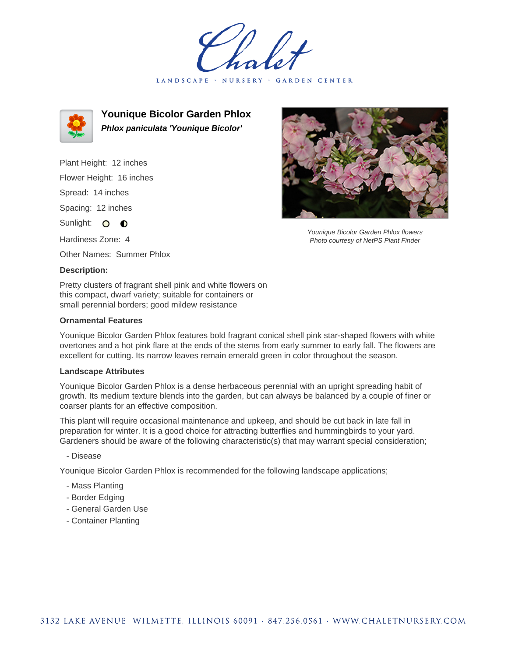LANDSCAPE · NURSERY · GARDEN CENTER



**Younique Bicolor Garden Phlox Phlox paniculata 'Younique Bicolor'**

Plant Height: 12 inches Flower Height: 16 inches Spread: 14 inches Spacing: 12 inches Sunlight: O **O** Hardiness Zone: 4 Other Names: Summer Phlox

## **Description:**

Pretty clusters of fragrant shell pink and white flowers on this compact, dwarf variety; suitable for containers or small perennial borders; good mildew resistance

### **Ornamental Features**

Younique Bicolor Garden Phlox features bold fragrant conical shell pink star-shaped flowers with white overtones and a hot pink flare at the ends of the stems from early summer to early fall. The flowers are excellent for cutting. Its narrow leaves remain emerald green in color throughout the season.

#### **Landscape Attributes**

Younique Bicolor Garden Phlox is a dense herbaceous perennial with an upright spreading habit of growth. Its medium texture blends into the garden, but can always be balanced by a couple of finer or coarser plants for an effective composition.

This plant will require occasional maintenance and upkeep, and should be cut back in late fall in preparation for winter. It is a good choice for attracting butterflies and hummingbirds to your yard. Gardeners should be aware of the following characteristic(s) that may warrant special consideration;

### - Disease

Younique Bicolor Garden Phlox is recommended for the following landscape applications;

- Mass Planting
- Border Edging
- General Garden Use
- Container Planting



Younique Bicolor Garden Phlox flowers Photo courtesy of NetPS Plant Finder